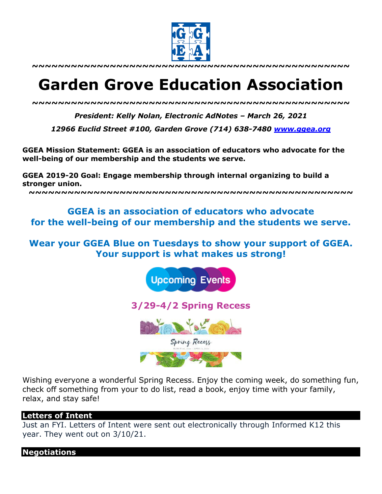

**~~~~~~~~~~~~~~~~~~~~~~~~~~~~~~~~~~~~~~~~~~~~~~~~~**

# **Garden Grove Education Association**

*~~~~~~~~~~~~~~~~~~~~~~~~~~~~~~~~~~~~~~~~~~~~~~~~~*

*President: Kelly Nolan, Electronic AdNotes – March 26, 2021*

*12966 Euclid Street #100, Garden Grove (714) 638-7480 www.ggea.org*

**GGEA Mission Statement: GGEA is an association of educators who advocate for the well-being of our membership and the students we serve.** 

**GGEA 2019-20 Goal: Engage membership through internal organizing to build a stronger union.**

**~~~~~~~~~~~~~~~~~~~~~~~~~~~~~~~~~~~~~~~~~~~~~~~~~~**

# **GGEA is an association of educators who advocate for the well-being of our membership and the students we serve.**

## **Wear your GGEA Blue on Tuesdays to show your support of GGEA. Your support is what makes us strong!**



**3/29-4/2 Spring Recess** 



Wishing everyone a wonderful Spring Recess. Enjoy the coming week, do something fun, check off something from your to do list, read a book, enjoy time with your family, relax, and stay safe!

### **Letters of Intent**

Just an FYI. Letters of Intent were sent out electronically through Informed K12 this year. They went out on 3/10/21.

**Negotiations**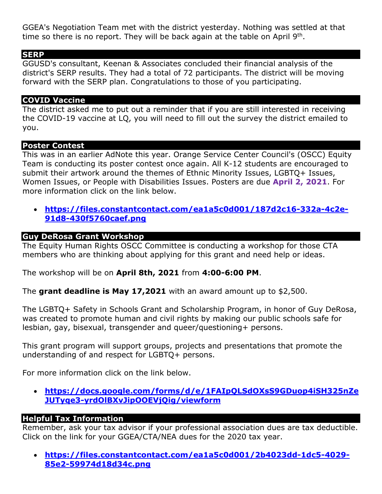GGEA's Negotiation Team met with the district yesterday. Nothing was settled at that time so there is no report. They will be back again at the table on April  $9<sup>th</sup>$ .

### **SERP**

GGUSD's consultant, Keenan & Associates concluded their financial analysis of the district's SERP results. They had a total of 72 participants. The district will be moving forward with the SERP plan. Congratulations to those of you participating.

## **COVID Vaccine**

The district asked me to put out a reminder that if you are still interested in receiving the COVID-19 vaccine at LQ, you will need to fill out the survey the district emailed to you.

### **Poster Contest**

This was in an earlier AdNote this year. Orange Service Center Council's (OSCC) Equity Team is conducting its poster contest once again. All K-12 students are encouraged to submit their artwork around the themes of Ethnic Minority Issues, LGBTQ+ Issues, Women Issues, or People with Disabilities Issues. Posters are due **April 2, 2021**. For more information click on the link below.

• **https://files.constantcontact.com/ea1a5c0d001/187d2c16-332a-4c2e-91d8-430f5760caef.png**

## **Guy DeRosa Grant Workshop**

The Equity Human Rights OSCC Committee is conducting a workshop for those CTA members who are thinking about applying for this grant and need help or ideas.

The workshop will be on **April 8th, 2021** from **4:00-6:00 PM**.

The **grant deadline is May 17,2021** with an award amount up to \$2,500.

The LGBTQ+ Safety in Schools Grant and Scholarship Program, in honor of Guy DeRosa, was created to promote human and civil rights by making our public schools safe for lesbian, gay, bisexual, transgender and queer/questioning+ persons.

This grant program will support groups, projects and presentations that promote the understanding of and respect for LGBTQ+ persons.

For more information click on the link below.

• **https://docs.google.com/forms/d/e/1FAIpQLSdOXsS9GDuop4iSH325nZe JUTyqe3-yrdOlBXvJipOOEVjQig/viewform**

### **Helpful Tax Information**

Remember, ask your tax advisor if your professional association dues are tax deductible. Click on the link for your GGEA/CTA/NEA dues for the 2020 tax year.

• **https://files.constantcontact.com/ea1a5c0d001/2b4023dd-1dc5-4029- 85e2-59974d18d34c.png**